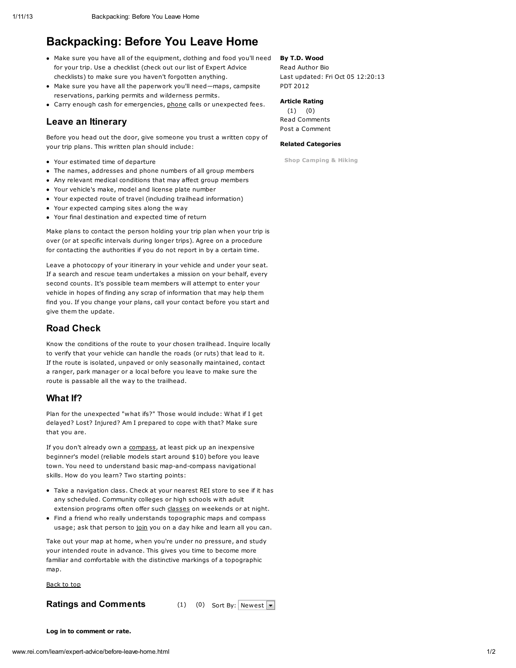# Backpacking: Before You Leave Home

- Make sure you have all of the equipment, clothing and food you'll need for your trip. Use a checklist (check out our list of Expert Advice checklists) to make sure you haven't forgotten anything.
- Make sure you have all the paperwork you'll need—maps, campsite reservations, parking permits and wilderness permits.
- Carry enough cash for emergencies, [phone](http://www.rei.com/learn/expert-advice/before-leave-home.html#) calls or unexpected fees.

### Leave an Itinerary

Before you head out the door, give someone you trust a written copy of your trip plans. This written plan should include:

- Your estimated time of departure
- The names, addresses and phone numbers of all group members
- Any relevant medical conditions that may affect group members
- Your vehicle's make, model and license plate number
- Your expected route of travel (including trailhead information)
- Your expected camping sites along the way
- Your final destination and expected time of return

Make plans to contact the person holding your trip plan when your trip is over (or at specific intervals during longer trips). Agree on a procedure for contacting the authorities if you do not report in by a certain time.

Leave a photocopy of your itinerary in your vehicle and under your seat. If a search and rescue team undertakes a mission on your behalf, every second counts. It's possible team members will attempt to enter your vehicle in hopes of finding any scrap of information that may help them find you. If you change your plans, call your contact before you start and give them the update.

### Road Check

Know the conditions of the route to your chosen trailhead. Inquire locally to verify that your vehicle can handle the roads (or ruts) that lead to it. If the route is isolated, unpaved or only seasonally maintained, contact a ranger, park manager or a local before you leave to make sure the route is passable all the way to the trailhead.

#### What If?

Plan for the unexpected "what ifs?" Those would include: What if I get delayed? Lost? Injured? Am I prepared to cope with that? Make sure that you are.

If you don't already own a [compass](http://www.rei.com/rei/learn/camp/howcompf.jsp), at least pick up an inexpensive beginner's model (reliable models start around \$10) before you leave town. You need to understand basic map-and-compass navigational skills. How do you learn? Two starting points:

- Take a navigation class. Check at your nearest REI store to see if it has any scheduled. Community colleges or high schools with adult extension programs often offer such [classes](http://www.rei.com/learn/expert-advice/before-leave-home.html#) on weekends or at night.
- Find a friend who really understands topographic maps and compass usage; ask that person to [join](http://www.rei.com/learn/expert-advice/before-leave-home.html#) you on a day hike and learn all you can.

Take out your map at home, when you're under no pressure, and study your intended route in advance. This gives you time to become more familiar and comfortable with the distinctive markings of a topographic map.

[Back](http://www.rei.com/learn/expert-advice/before-leave-home.html#top) to top

#### Ratings and Comments (1) (0) Sort By: Newest  $\overline{\phantom{a}}$

## By T.D. Wood

Read [Author](http://www.rei.com/learn/author-bios/t-d-wood.html) Bio Last updated: Fri Oct 05 12:20:13 PDT 2012

#### Article Rating

(1) (0) Read [Comments](http://www.rei.com/learn/expert-advice/before-leave-home.html#anchor_comments) Post a [Comment](http://www.rei.com/learn/expert-advice/before-leave-home.html#anchor_comments)

#### Related Categories

Shop [Camping](http://www.rei.com/category/4500001) & Hiking

[Log](http://www.rei.com/YourAccountLoginView?toUrl=/learn/expert-advice/before-leave-home.html) in to comment or rate.